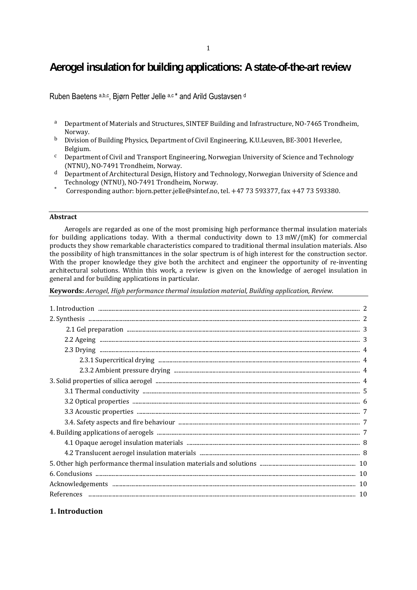# **Aerogel insulation for building applications: A state-of-the-art review**

Ruben Baetens a,b,c, Biørn Petter Jelle a,c \* and Arild Gustavsen d

- a Department of Materials and Structures, SINTEF Building and Infrastructure, NO-7465 Trondheim, Norway.
- b Division of Building Physics, Department of Civil Engineering, K.U.Leuven, BE-3001 Heverlee, Belgium.
- <sup>c</sup> Department of Civil and Transport Engineering, Norwegian University of Science and Technology (NTNU), NO-7491 Trondheim, Norway.
- $d$  Department of Architectural Design, History and Technology, Norwegian University of Science and Technology (NTNU), NO-7491 Trondheim, Norway.
- Corresponding author: bjorn.petter.jelle@sintef.no, tel.  $+47$  73 593377, fax  $+47$  73 593380.

#### **Abstract**

Aerogels are regarded as one of the most promising high performance thermal insulation materials for building applications today. With a thermal conductivity down to  $13 \text{ mW/(mK)}$  for commercial products they show remarkable characteristics compared to traditional thermal insulation materials. Also the possibility of high transmittances in the solar spectrum is of high interest for the construction sector. With the proper knowledge they give both the architect and engineer the opportunity of re-inventing architectural solutions. Within this work, a review is given on the knowledge of aerogel insulation in general and for building applications in particular.

**Keywords:** *Aerogel, High performance thermal insulation material, Building application, Review.*

| $\begin{minipage}[c]{0.5\textwidth} \centering \textbf{6. Conclusions} \end{minipage} \begin{minipage}[c]{0.5\textwidth} \centering \begin{minipage}[c]{0.5\textwidth} \centering \textbf{7.10} \end{minipage} \begin{minipage}[c]{0.5\textwidth} \centering \textbf{8.10} \end{minipage} \begin{minipage}[c]{0.5\textwidth} \centering \textbf{9.10} \end{minipage} \begin{minipage}[c]{0.5\textwidth} \centering \textbf{10.10} \end{minipage} \begin{minipage}[c]{0.5\textwidth} \centering \textbf{11$ |  |
|------------------------------------------------------------------------------------------------------------------------------------------------------------------------------------------------------------------------------------------------------------------------------------------------------------------------------------------------------------------------------------------------------------------------------------------------------------------------------------------------------------|--|
|                                                                                                                                                                                                                                                                                                                                                                                                                                                                                                            |  |

# **1. Introduction**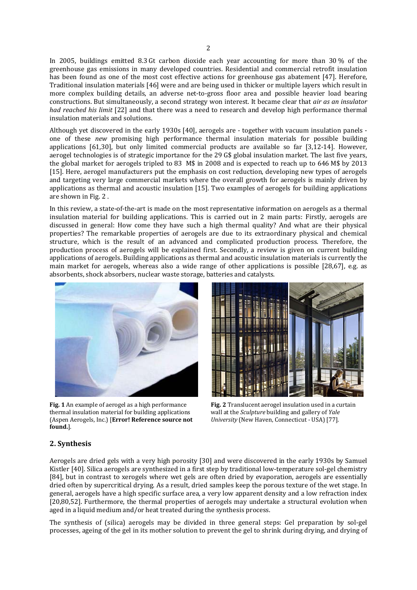In 2005, buildings emitted 8.3 Gt carbon dioxide each year accounting for more than  $30\%$  of the greenhouse gas emissions in many developed countries. Residential and commercial retrofit insulation has been found as one of the most cost effective actions for greenhouse gas abatement [47]. Herefore, Traditional insulation materials [46] were and are being used in thicker or multiple layers which result in more complex building details, an adverse net-to-gross floor area and possible heavier load bearing constructions. But simultaneously, a second strategy won interest. It became clear that *air as an insulator had reached his limit* [22] and that there was a need to research and develop high performance thermal insulation materials and solutions.

Although yet discovered in the early 1930s [40], aerogels are - together with vacuum insulation panels one of these *new* promising high performance thermal insulation materials for possible building applications [61,30], but only limited commercial products are available so far [3,12-14]. However, aerogel technologies is of strategic importance for the 29 G\$ global insulation market. The last five years, the global market for aerogels tripled to 83  $M\$  in 2008 and is expected to reach up to 646 M\\$ by 2013 [15]. Here, aerogel manufacturers put the emphasis on cost reduction, developing new types of aerogels and targeting very large commercial markets where the overall growth for aerogels is mainly driven by applications as thermal and acoustic insulation [15]. Two examples of aerogels for building applications are shown in Fig. 2.

In this review, a state-of-the-art is made on the most representative information on aerogels as a thermal insulation material for building applications. This is carried out in 2 main parts: Firstly, aerogels are discussed in general: How come they have such a high thermal quality? And what are their physical properties? The remarkable properties of aerogels are due to its extraordinary physical and chemical structure, which is the result of an advanced and complicated production process. Therefore, the production process of aerogels will be explained first. Secondly, a review is given on current building applications of aerogels. Building applications as thermal and acoustic insulation materials is currently the main market for aerogels, whereas also a wide range of other applications is possible  $[28,67]$ , e.g. as absorbents, shock absorbers, nuclear waste storage, batteries and catalysts.



Fig. 1 An example of aerogel as a high performance thermal insulation material for building applications (Aspen Aerogels, Inc.) [**Error! Reference source not found.**]. 

**Fig.** 2 Translucent aerogel insulation used in a curtain wall at the *Sculpture* building and gallery of *Yale University* (New Haven, Connecticut - USA) [77].

# **2. Synthesis**

Aerogels are dried gels with a very high porosity [30] and were discovered in the early 1930s by Samuel Kistler [40]. Silica aerogels are synthesized in a first step by traditional low-temperature sol-gel chemistry [84], but in contrast to xerogels where wet gels are often dried by evaporation, aerogels are essentially dried often by supercritical drying. As a result, dried samples keep the porous texture of the wet stage. In general, aerogels have a high specific surface area, a very low apparent density and a low refraction index [20,80,52]. Furthermore, the thermal properties of aerogels may undertake a structural evolution when aged in a liquid medium and/or heat treated during the synthesis process.

The synthesis of (silica) aerogels may be divided in three general steps: Gel preparation by sol-gel processes, ageing of the gel in its mother solution to prevent the gel to shrink during drying, and drying of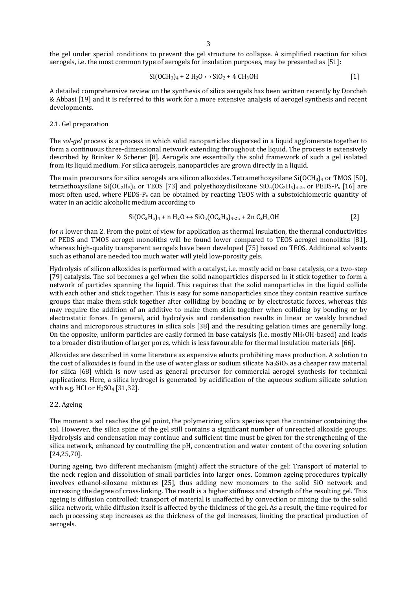the gel under special conditions to prevent the gel structure to collapse. A simplified reaction for silica aerogels, i.e. the most common type of aerogels for insulation purposes, may be presented as [51]:

$$
Si(OCH3)4 + 2 H2O \leftrightarrow SiO2 + 4 CH3OH
$$
 [1]

A detailed comprehensive review on the synthesis of silica aerogels has been written recently by Dorcheh & Abbasi [19] and it is referred to this work for a more extensive analysis of aerogel synthesis and recent developments. 

#### 2.1. Gel preparation

The sol-gel process is a process in which solid nanoparticles dispersed in a liquid agglomerate together to form a continuous three-dimensional network extending throughout the liquid. The process is extensively described by Brinker & Scherer [8]. Aerogels are essentially the solid framework of such a gel isolated from its liquid medium. For silica aerogels, nanoparticles are grown directly in a liquid.

The main precursors for silica aerogels are silicon alkoxides. Tetramethoxysilane  $Si(OCH<sub>3</sub>)<sub>4</sub>$  or TMOS [50], tetraethoxysilane Si(OC<sub>2</sub>H<sub>5</sub>)<sub>4</sub> or TEOS [73] and polyethoxydisiloxane SiO<sub>n</sub>(OC<sub>2</sub>H<sub>5</sub>)<sub>4</sub><sub>-2n</sub> or PEDS-P<sub>x</sub> [16] are most often used, where  $PEDS-P_x$  can be obtained by reacting TEOS with a substoichiometric quantity of water in an acidic alcoholic medium according to

$$
Si(OC2H5)4 + n H2O \leftrightarrow SiOn(OC2H5)4-2n + 2n C2H5OH
$$
 [2]

for *n* lower than 2. From the point of view for application as thermal insulation, the thermal conductivities of PEDS and TMOS aerogel monoliths will be found lower compared to TEOS aerogel monoliths [81], whereas high-quality transparent aerogels have been developed [75] based on TEOS. Additional solvents such as ethanol are needed too much water will yield low-porosity gels.

Hydrolysis of silicon alkoxides is performed with a catalyst, i.e. mostly acid or base catalysis, or a two-step [79] catalysis. The sol becomes a gel when the solid nanoparticles dispersed in it stick together to form a network of particles spanning the liquid. This requires that the solid nanoparticles in the liquid collide with each other and stick together. This is easy for some nanoparticles since they contain reactive surface groups that make them stick together after colliding by bonding or by electrostatic forces, whereas this may require the addition of an additive to make them stick together when colliding by bonding or by electrostatic forces. In general, acid hydrolysis and condensation results in linear or weakly branched chains and microporous structures in silica sols [38] and the resulting gelation times are generally long. On the opposite, uniform particles are easily formed in base catalysis (i.e. mostly  $NH<sub>4</sub>OH$ -based) and leads to a broader distribution of larger pores, which is less favourable for thermal insulation materials [66].

Alkoxides are described in some literature as expensive educts prohibiting mass production. A solution to the cost of alkoxides is found in the use of water glass or sodium silicate  $Na_2SiO_3$  as a cheaper raw material for silica [68] which is now used as general precursor for commercial aerogel synthesis for technical applications. Here, a silica hydrogel is generated by acidification of the aqueous sodium silicate solution with e.g. HCl or  $H_2SO_4$  [31.32].

#### 2.2. Ageing

The moment a sol reaches the gel point, the polymerizing silica species span the container containing the sol. However, the silica spine of the gel still contains a significant number of unreacted alkoxide groups. Hydrolysis and condensation may continue and sufficient time must be given for the strengthening of the silica network, enhanced by controlling the pH, concentration and water content of the covering solution [24,25,70]. 

During ageing, two different mechanism (might) affect the structure of the gel: Transport of material to the neck region and dissolution of small particles into larger ones. Common ageing procedures typically involves ethanol-siloxane mixtures [25], thus adding new monomers to the solid SiO network and increasing the degree of cross-linking. The result is a higher stiffness and strength of the resulting gel. This ageing is diffusion controlled: transport of material is unaffected by convection or mixing due to the solid silica network, while diffusion itself is affected by the thickness of the gel. As a result, the time required for each processing step increases as the thickness of the gel increases, limiting the practical production of aerogels.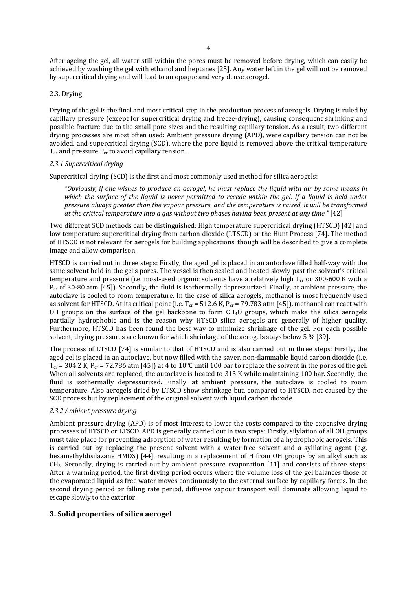After ageing the gel, all water still within the pores must be removed before drying, which can easily be achieved by washing the gel with ethanol and heptanes [25]. Any water left in the gel will not be removed by supercritical drying and will lead to an opaque and very dense aerogel.

#### 2.3. Drying

Drying of the gel is the final and most critical step in the production process of aerogels. Drying is ruled by capillary pressure (except for supercritical drying and freeze-drying), causing consequent shrinking and possible fracture due to the small pore sizes and the resulting capillary tension. As a result, two different  $\frac{1}{2}$  drying processes are most often used: Ambient pressure drying  $(APD)$ , were capillary tension can not be avoided, and supercritical drying (SCD), where the pore liquid is removed above the critical temperature  $T_{cr}$  and pressure  $P_{cr}$  to avoid capillary tension.

### *2.3.1 Supercritical drying*

Supercritical drying (SCD) is the first and most commonly used method for silica aerogels:

"Obviously, if one wishes to produce an aeroael, he must replace the liauid with air by some means in which the surface of the liquid is never permitted to recede within the gel. If a liquid is held under *pressure always greater than the vapour pressure, and the temperature is raised, it will be transformed at the critical temperature into a gas without two phases having been present at any time."* [42]

Two different SCD methods can be distinguished: High temperature supercritical drying (HTSCD) [42] and low temperature supercritical drying from carbon dioxide (LTSCD) or the Hunt Process [74]. The method of HTSCD is not relevant for aerogels for building applications, though will be described to give a complete image and allow comparison.

HTSCD is carried out in three steps: Firstly, the aged gel is placed in an autoclave filled half-way with the same solvent held in the gel's pores. The vessel is then sealed and heated slowly past the solvent's critical temperature and pressure (i.e. most-used organic solvents have a relatively high  $T_{cr}$  or 300-600 K with a  $P_{cr}$  of 30-80 atm [45]). Secondly, the fluid is isothermally depressurized. Finally, at ambient pressure, the autoclave is cooled to room temperature. In the case of silica aerogels, methanol is most frequently used as solvent for HTSCD. At its critical point (i.e.  $T_{cr}$  = 512.6 K,  $P_{cr}$  = 79.783 atm [45]), methanol can react with OH groups on the surface of the gel backbone to form  $CH_3O$  groups, which make the silica aerogels partially hydrophobic and is the reason why HTSCD silica aerogels are generally of higher quality. Furthermore, HTSCD has been found the best way to minimize shrinkage of the gel. For each possible solvent, drying pressures are known for which shrinkage of the aerogels stays below 5 % [39].

The process of LTSCD [74] is similar to that of HTSCD and is also carried out in three steps: Firstly, the aged gel is placed in an autoclave, but now filled with the saver, non-flammable liquid carbon dioxide (i.e.  $T_{cr}$  = 304.2 K, P<sub>cr</sub> = 72.786 atm [45]) at 4 to 10°C until 100 bar to replace the solvent in the pores of the gel. When all solvents are replaced, the autoclave is heated to 313 K while maintaining 100 bar. Secondly, the fluid is isothermally depressurized. Finally, at ambient pressure, the autoclave is cooled to room temperature. Also aerogels dried by LTSCD show shrinkage but, compared to HTSCD, not caused by the SCD process but by replacement of the original solvent with liquid carbon dioxide.

#### *2.3.2 Ambient pressure drying*

Ambient pressure drying (APD) is of most interest to lower the costs compared to the expensive drying processes of HTSCD or LTSCD. APD is generally carried out in two steps: Firstly, silylation of all OH groups must take place for preventing adsorption of water resulting by formation of a hydrophobic aerogels. This is carried out by replacing the present solvent with a water-free solvent and a sylilating agent (e.g. hexamethyldisilazane HMDS) [44], resulting in a replacement of H from OH groups by an alkyl such as  $CH<sub>3</sub>$ . Secondly, drying is carried out by ambient pressure evaporation [11] and consists of three steps: After a warming period, the first drying period occurs where the volume loss of the gel balances those of the evaporated liquid as free water moves continuously to the external surface by capillary forces. In the second drying period or falling rate period, diffusive vapour transport will dominate allowing liquid to escape slowly to the exterior.

## **3. Solid properties of silica aerogel**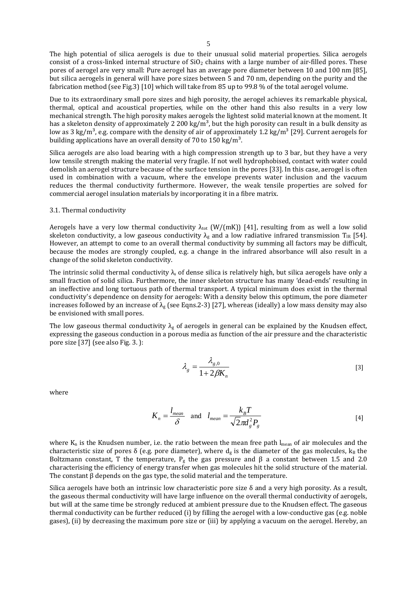The high potential of silica aerogels is due to their unusual solid material properties. Silica aerogels consist of a cross-linked internal structure of  $SiO<sub>2</sub>$  chains with a large number of air-filled pores. These pores of aerogel are very small: Pure aerogel has an average pore diameter between 10 and 100 nm [85], but silica aerogels in general will have pore sizes between 5 and 70 nm, depending on the purity and the fabrication method (see Fig.3) [10] which will take from 85 up to 99.8 % of the total aerogel volume.

Due to its extraordinary small pore sizes and high porosity, the aerogel achieves its remarkable physical, thermal, optical and acoustical properties, while on the other hand this also results in a very low mechanical strength. The high porosity makes aerogels the lightest solid material known at the moment. It has a skeleton density of approximately 2 200 kg/m<sup>3</sup>, but the high porosity can result in a bulk density as low as  $3 \text{ kg/m}^3$ , e.g. compare with the density of air of approximately 1.2 kg/m<sup>3</sup> [29]. Current aerogels for building applications have an overall density of 70 to 150 kg/m<sup>3</sup>.

Silica aerogels are also load bearing with a high compression strength up to 3 bar, but they have a very low tensile strength making the material very fragile. If not well hydrophobised, contact with water could demolish an aerogel structure because of the surface tension in the pores [33]. In this case, aerogel is often used in combination with a vacuum, where the envelope prevents water inclusion and the vacuum reduces the thermal conductivity furthermore. However, the weak tensile properties are solved for commercial aerogel insulation materials by incorporating it in a fibre matrix.

## 3.1. Thermal conductivity

Aerogels have a very low thermal conductivity  $\lambda_{\text{tot}}$  (W/(mK)) [41], resulting from as well a low solid skeleton conductivity, a low gaseous conductivity  $\lambda_g$  and a low radiative infrared transmission T<sub>IR</sub> [54]. However, an attempt to come to an overall thermal conductivity by summing all factors may be difficult. because the modes are strongly coupled, e.g. a change in the infrared absorbance will also result in a change of the solid skeleton conductivity.

The intrinsic solid thermal conductivity  $\lambda_s$  of dense silica is relatively high, but silica aerogels have only a small fraction of solid silica. Furthermore, the inner skeleton structure has many 'dead-ends' resulting in an ineffective and long tortuous path of thermal transport. A typical minimum does exist in the thermal conductivity's dependence on density for aerogels: With a density below this optimum, the pore diameter increases followed by an increase of  $\lambda_g$  (see Eqns.2-3) [27], whereas (ideally) a low mass density may also be envisioned with small pores.

The low gaseous thermal conductivity  $\lambda_g$  of aerogels in general can be explained by the Knudsen effect, expressing the gaseous conduction in a porous media as function of the air pressure and the characteristic pore size [37] (see also Fig. 3.):

$$
\lambda_g = \frac{\lambda_{g,0}}{1 + 2\beta K_n} \tag{3}
$$

where 

$$
K_n = \frac{l_{mean}}{\delta} \quad \text{and} \quad l_{mean} = \frac{k_B T}{\sqrt{2\pi d_s^2 P_g}} \tag{4}
$$

where  $K_n$  is the Knudsen number, i.e. the ratio between the mean free path  $l_{mean}$  of air molecules and the characteristic size of pores  $\delta$  (e.g. pore diameter), where  $d_g$  is the diameter of the gas molecules,  $k_B$  the Boltzmann constant, T the temperature,  $P_g$  the gas pressure and  $\beta$  a constant between 1.5 and 2.0 characterising the efficiency of energy transfer when gas molecules hit the solid structure of the material. The constant  $\beta$  depends on the gas type, the solid material and the temperature.

Silica aerogels have both an intrinsic low characteristic pore size  $\delta$  and a very high porosity. As a result, the gaseous thermal conductivity will have large influence on the overall thermal conductivity of aerogels, but will at the same time be strongly reduced at ambient pressure due to the Knudsen effect. The gaseous thermal conductivity can be further reduced  $(i)$  by filling the aerogel with a low-conductive gas (e.g. noble gases), (ii) by decreasing the maximum pore size or (iii) by applying a vacuum on the aerogel. Hereby, an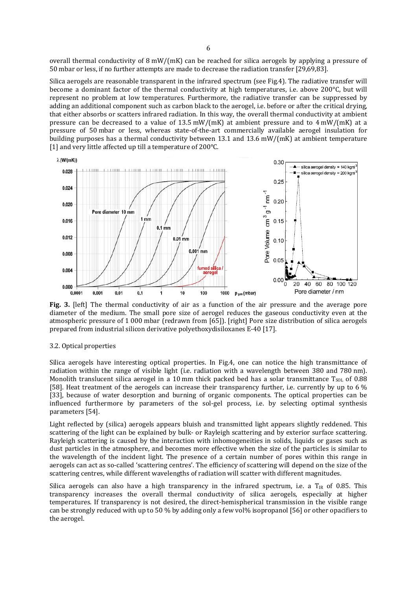overall thermal conductivity of  $8 \text{ mW}/(\text{mK})$  can be reached for silica aerogels by applying a pressure of 50 mbar or less, if no further attempts are made to decrease the radiation transfer [29,69,83].

Silica aerogels are reasonable transparent in the infrared spectrum (see Fig.4). The radiative transfer will become a dominant factor of the thermal conductivity at high temperatures, i.e. above  $200^{\circ}$ C, but will represent no problem at low temperatures. Furthermore, the radiative transfer can be suppressed by adding an additional component such as carbon black to the aerogel, i.e. before or after the critical drying, that either absorbs or scatters infrared radiation. In this way, the overall thermal conductivity at ambient pressure can be decreased to a value of  $13.5$  mW/(mK) at ambient pressure and to  $4$  mW/(mK) at a pressure of 50 mbar or less, whereas state-of-the-art commercially available aerogel insulation for building purposes has a thermal conductivity between 13.1 and 13.6 mW/(mK) at ambient temperature [1] and very little affected up till a temperature of 200°C.



**Fig.** 3. [left] The thermal conductivity of air as a function of the air pressure and the average pore diameter of the medium. The small pore size of aerogel reduces the gaseous conductivity even at the atmospheric pressure of 1 000 mbar (redrawn from [65]). [right] Pore size distribution of silica aerogels prepared from industrial silicon derivative polyethoxydisiloxanes E-40 [17].

#### 3.2. Optical properties

Silica aerogels have interesting optical properties. In Fig.4, one can notice the high transmittance of radiation within the range of visible light (i.e. radiation with a wavelength between 380 and 780 nm). Monolith translucent silica aerogel in a 10 mm thick packed bed has a solar transmittance  $T_{SOL}$  of 0.88 [58]. Heat treatment of the aerogels can increase their transparency further, i.e. currently by up to  $6\%$ [33], because of water desorption and burning of organic components. The optical properties can be influenced furthermore by parameters of the sol-gel process, i.e. by selecting optimal synthesis parameters [54].

Light reflected by (silica) aerogels appears bluish and transmitted light appears slightly reddened. This scattering of the light can be explained by bulk- or Rayleigh scattering and by exterior surface scattering. Rayleigh scattering is caused by the interaction with inhomogeneities in solids, liquids or gases such as dust particles in the atmosphere, and becomes more effective when the size of the particles is similar to the wavelength of the incident light. The presence of a certain number of pores within this range in aerogels can act as so-called 'scattering centres'. The efficiency of scattering will depend on the size of the scattering centres, while different wavelengths of radiation will scatter with different magnitudes.

Silica aerogels can also have a high transparency in the infrared spectrum, i.e. a  $T_{IR}$  of 0.85. This transparency increases the overall thermal conductivity of silica aerogels, especially at higher temperatures. If transparency is not desired, the direct-hemispherical transmission in the visible range can be strongly reduced with up to 50 % by adding only a few yol% isopropanol [56] or other opacifiers to the aerogel.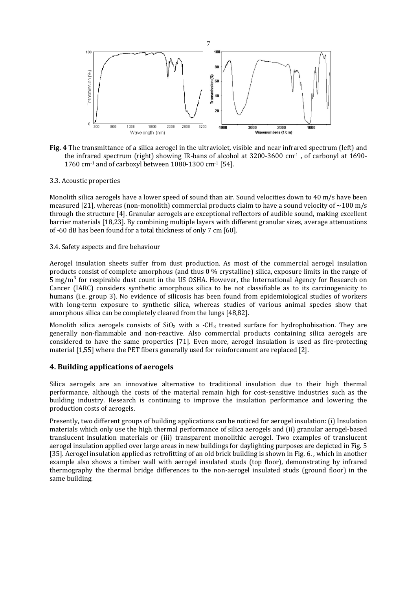

**Fig.** 4 The transmittance of a silica aerogel in the ultraviolet, visible and near infrared spectrum (left) and the infrared spectrum (right) showing IR-bans of alcohol at  $3200-3600 \text{ cm}^{-1}$ , of carbonyl at  $1690-$ 1760 cm $^{-1}$  and of carboxyl between 1080-1300 cm $^{-1}$  [54].

## 3.3. Acoustic properties

Monolith silica aerogels have a lower speed of sound than air. Sound velocities down to  $40 \text{ m/s}$  have been measured [21], whereas (non-monolith) commercial products claim to have a sound velocity of  $\sim$ 100 m/s through the structure [4]. Granular aerogels are exceptional reflectors of audible sound, making excellent barrier materials [18,23]. By combining multiple layers with different granular sizes, average attenuations of -60 dB has been found for a total thickness of only 7 cm [60].

#### 3.4. Safety aspects and fire behaviour

Aerogel insulation sheets suffer from dust production. As most of the commercial aerogel insulation products consist of complete amorphous (and thus  $0\%$  crystalline) silica, exposure limits in the range of  $5 \text{ mg/m}^3$  for respirable dust count in the US OSHA. However, the International Agency for Research on Cancer (IARC) considers synthetic amorphous silica to be not classifiable as to its carcinogenicity to humans (i.e. group 3). No evidence of silicosis has been found from epidemiological studies of workers with long-term exposure to synthetic silica, whereas studies of various animal species show that amorphous silica can be completely cleared from the lungs [48,82].

Monolith silica aerogels consists of  $SiO<sub>2</sub>$  with a -CH<sub>3</sub> treated surface for hydrophobisation. They are generally non-flammable and non-reactive. Also commercial products containing silica aerogels are considered to have the same properties [71]. Even more, aerogel insulation is used as fire-protecting material [1,55] where the PET fibers generally used for reinforcement are replaced [2].

# **4. Building applications of aerogels**

Silica aerogels are an innovative alternative to traditional insulation due to their high thermal performance, although the costs of the material remain high for cost-sensitive industries such as the building industry. Research is continuing to improve the insulation performance and lowering the production costs of aerogels.

Presently, two different groups of building applications can be noticed for aerogel insulation: (i) Insulation materials which only use the high thermal performance of silica aerogels and (ii) granular aerogel-based translucent insulation materials or (iii) transparent monolithic aerogel. Two examples of translucent aerogel insulation applied over large areas in new buildings for daylighting purposes are depicted in Fig. 5 [35]. Aerogel insulation applied as retrofitting of an old brick building is shown in Fig. 6., which in another example also shows a timber wall with aerogel insulated studs (top floor), demonstrating by infrared thermography the thermal bridge differences to the non-aerogel insulated studs (ground floor) in the same building.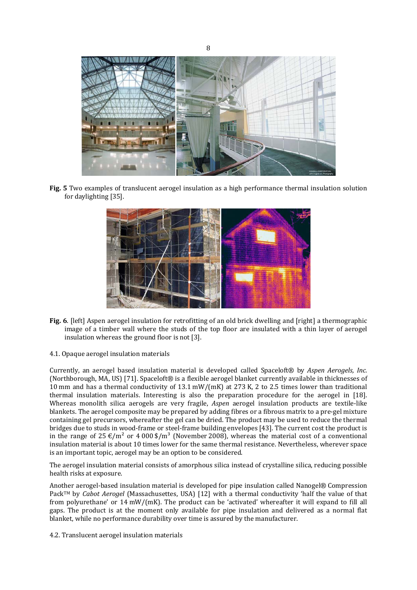

**Fig.** 5 Two examples of translucent aerogel insulation as a high performance thermal insulation solution for daylighting [35].



- **Fig.** 6. [left] Aspen aerogel insulation for retrofitting of an old brick dwelling and [right] a thermographic image of a timber wall where the studs of the top floor are insulated with a thin layer of aerogel insulation whereas the ground floor is not  $[3]$ .
- 4.1. Opaque aerogel insulation materials

Currently, an aerogel based insulation material is developed called Spaceloft® by *Aspen Aerogels, Inc.* (Northborough, MA, US) [71]. Spaceloft® is a flexible aerogel blanket currently available in thicknesses of 10 mm and has a thermal conductivity of 13.1 mW/(mK) at 273 K, 2 to 2.5 times lower than traditional thermal insulation materials. Interesting is also the preparation procedure for the aerogel in [18]. Whereas monolith silica aerogels are very fragile, *Aspen* aerogel insulation products are textile-like blankets. The aerogel composite may be prepared by adding fibres or a fibrous matrix to a pre-gel mixture containing gel precursors, whereafter the gel can be dried. The product may be used to reduce the thermal bridges due to studs in wood-frame or steel-frame building envelopes [43]. The current cost the product is in the range of  $25 \text{ E/m}^2$  or  $4000 \text{ s/m}^3$  (November 2008), whereas the material cost of a conventional insulation material is about 10 times lower for the same thermal resistance. Nevertheless, wherever space is an important topic, aerogel may be an option to be considered.

The aerogel insulation material consists of amorphous silica instead of crystalline silica, reducing possible health risks at exposure.

Another aerogel-based insulation material is developed for pipe insulation called Nanogel® Compression Pack™ by *Cabot Aerogel* (Massachusettes, USA) [12] with a thermal conductivity 'half the value of that from polyurethane' or  $14 \text{ mW/(mK)}$ . The product can be 'activated' whereafter it will expand to fill all gaps. The product is at the moment only available for pipe insulation and delivered as a normal flat blanket, while no performance durability over time is assured by the manufacturer.

4.2. Translucent aerogel insulation materials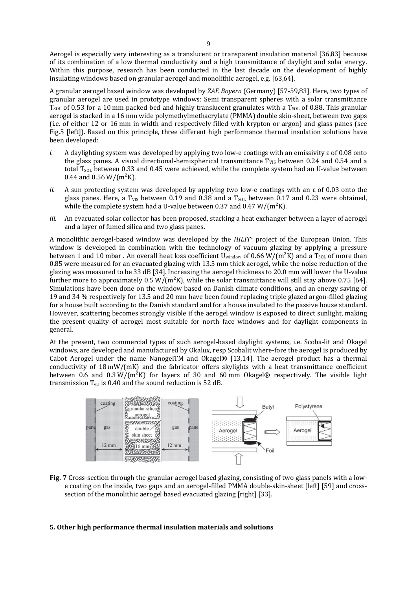Aerogel is especially very interesting as a translucent or transparent insulation material [36,83] because of its combination of a low thermal conductivity and a high transmittance of daylight and solar energy. Within this purpose, research has been conducted in the last decade on the development of highly insulating windows based on granular aerogel and monolithic aerogel, e.g. [63,64].

A granular aerogel based window was developed by *ZAE Bayern* (Germany) [57-59,83]. Here, two types of granular aerogel are used in prototype windows: Semi transparent spheres with a solar transmittance  $T_{SOL}$  of 0.53 for a 10 mm packed bed and highly translucent granulates with a  $T_{SOL}$  of 0.88. This granular aerogel is stacked in a 16 mm wide polymethylmethacrylate (PMMA) double skin-sheet, between two gaps (i.e. of either 12 or 16 mm in width and respectively filled with krypton or argon) and glass panes (see Fig.5 [left]). Based on this principle, three different high performance thermal insulation solutions have been developed: 

- *i.* A daylighting system was developed by applying two low-e coatings with an emissivity  $\epsilon$  of 0.08 onto the glass panes. A visual directional-hemispherical transmittance  $T_{VIS}$  between 0.24 and 0.54 and a total T<sub>SOL</sub> between 0.33 and 0.45 were achieved, while the complete system had an U-value between 0.44 and 0.56 W/( $m^2K$ ).
- *ii.* A sun protecting system was developed by applying two low-e coatings with an  $\epsilon$  of 0.03 onto the glass panes. Here, a T<sub>VIS</sub> between 0.19 and 0.38 and a T<sub>SOL</sub> between 0.17 and 0.23 were obtained, while the complete system had a U-value between 0.37 and 0.47 W/( $m<sup>2</sup>K$ ).
- *iii.* An evacuated solar collector has been proposed, stacking a heat exchanger between a layer of aerogel and a layer of fumed silica and two glass panes.

A monolithic aerogel-based window was developed by the *HILIT*<sup>+</sup> project of the European Union. This window is developed in combination with the technology of vacuum glazing by applying a pressure between 1 and 10 mbar . An overall heat loss coefficient  $U_{window}$  of 0.66 W/(m<sup>2</sup>K) and a  $T_{SOL}$  of more than 0.85 were measured for an evacuated glazing with 13.5 mm thick aerogel, while the noise reduction of the glazing was measured to be 33 dB [34]. Increasing the aerogel thickness to 20.0 mm will lower the U-value further more to approximately  $0.5 W/(m^2 K)$ , while the solar transmittance will still stay above 0.75 [64]. Simulations have been done on the window based on Danish climate conditions, and an energy saving of 19 and 34 % respectively for 13.5 and 20 mm have been found replacing triple glazed argon-filled glazing for a house built according to the Danish standard and for a house insulated to the passive house standard. However, scattering becomes strongly visible if the aerogel window is exposed to direct sunlight, making the present quality of aerogel most suitable for north face windows and for daylight components in general. 

At the present, two commercial types of such aerogel-based daylight systems, i.e. Scoba-lit and Okagel windows, are developed and manufactured by Okalux, resp Scobalit where-fore the aerogel is produced by Cabot Aerogel under the name NanogelTM and Okagel®  $[13,14]$ . The aerogel product has a thermal conductivity of  $18 \text{ mW/(mK)}$  and the fabricator offers skylights with a heat transmittance coefficient between 0.6 and 0.3  $W/(m^2K)$  for layers of 30 and 60 mm Okagel® respectively. The visible light transmission  $T_{vis}$  is 0.40 and the sound reduction is 52 dB.



**Fig. 7** Cross-section through the granular aerogel based glazing, consisting of two glass panels with a lowe coating on the inside, two gaps and an aerogel-filled PMMA double-skin-sheet [left] [59] and crosssection of the monolithic aerogel based evacuated glazing [right] [33].

## **5. Other high performance thermal insulation materials and solutions**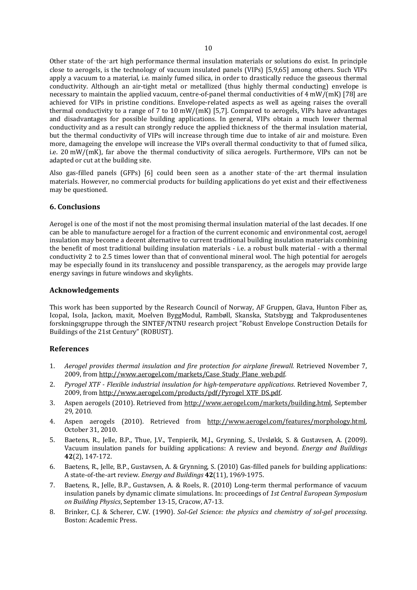Other state-of-the-art high performance thermal insulation materials or solutions do exist. In principle close to aerogels, is the technology of vacuum insulated panels (VIPs) [5,9,65] among others. Such VIPs apply a vacuum to a material, i.e. mainly fumed silica, in order to drastically reduce the gaseous thermal conductivity. Although an air-tight metal or metallized (thus highly thermal conducting) envelope is necessary to maintain the applied vacuum, centre-of-panel thermal conductivities of  $4 \text{ mW}/(\text{mK})$  [78] are achieved for VIPs in pristine conditions. Envelope-related aspects as well as ageing raises the overall thermal conductivity to a range of 7 to 10 mW/(mK) [5,7]. Compared to aerogels, VIPs have advantages and disadvantages for possible building applications. In general, VIPs obtain a much lower thermal conductivity and as a result can strongly reduce the applied thickness of the thermal insulation material, but the thermal conductivity of VIPs will increase through time due to intake of air and moisture. Even more, damageing the envelope will increase the VIPs overall thermal conductivity to that of fumed silica, i.e.  $20 \text{ mW/(mK)}$ , far above the thermal conductivity of silica aerogels. Furthermore, VIPs can not be adapted or cut at the building site.

Also gas-filled panels  $(GFPs)$  [6] could been seen as a another state–of–the–art thermal insulation materials. However, no commercial products for building applications do yet exist and their effectiveness may be questioned.

## **6. Conclusions**

Aerogel is one of the most if not the most promising thermal insulation material of the last decades. If one can be able to manufacture aerogel for a fraction of the current economic and environmental cost, aerogel insulation may become a decent alternative to current traditional building insulation materials combining the benefit of most traditional building insulation materials - i.e. a robust bulk material - with a thermal conductivity 2 to 2.5 times lower than that of conventional mineral wool. The high potential for aerogels may be especially found in its translucency and possible transparency, as the aerogels may provide large energy savings in future windows and skylights.

## **Acknowledgements**

This work has been supported by the Research Council of Norway, AF Gruppen, Glava, Hunton Fiber as, Icopal, Isola, Jackon, maxit, Moelven ByggModul, Rambøll, Skanska, Statsbygg and Takprodusentenes forskningsgruppe through the SINTEF/NTNU research project "Robust Envelope Construction Details for Buildings of the 21st Century" (ROBUST).

## **References**

- 1. *Aerogel provides thermal insulation and fire protection for airplane firewall.* Retrieved November 7, 2009, from http://www.aerogel.com/markets/Case\_Study\_Plane\_web.pdf.
- 2. *Pyrogel XTF ‐ Flexible industrial insulation for high‐temperature applications*. Retrieved November 7, 2009, from http://www.aerogel.com/products/pdf/Pyrogel\_XTF\_DS.pdf.
- 3. Aspen aerogels (2010). Retrieved from http://www.aerogel.com/markets/building.html, September 29, 2010.
- 4. Aspen aerogels (2010). Retrieved from http://www.aerogel.com/features/morphology.html, October 31, 2010.
- 5. Baetens, R., Jelle, B.P., Thue, J.V., Tenpierik, M.J., Grynning, S., Uvsløkk, S. & Gustavsen, A. (2009). Vacuum insulation panels for building applications: A review and beyond. *Energy and Buildings* **42**(2), 147‐172.
- 6. Baetens, R., Jelle, B.P., Gustavsen, A. & Grynning, S. (2010) Gas-filled panels for building applications: A state‐of‐the‐art review. *Energy and Buildings* **42**(11), 1969‐1975.
- 7. Baetens, R., Jelle, B.P., Gustavsen, A. & Roels, R. (2010) Long-term thermal performance of vacuum insulation panels by dynamic climate simulations. In: proceedings of *1st Central European Symposium on Building Physics*, September 13‐15, Cracow, A7‐13.
- 8. Brinker, C.J. & Scherer, C.W. (1990). *Sol‐Gel Science: the physics and chemistry of sol‐gel processing*. Boston: Academic Press.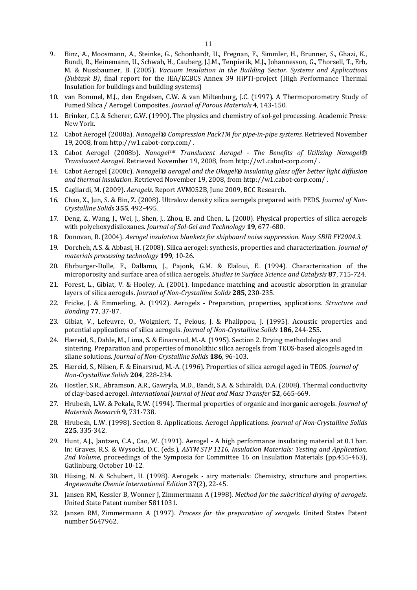- 9. Binz, A., Moosmann, A., Steinke, G., Schonhardt, U., Fregnan, F., Simmler, H., Brunner, S., Ghazi, K., Bundi, R., Heinemann, U., Schwab, H., Cauberg, J.J.M., Tenpierik, M.J., Johannesson, G., Thorsell, T., Erb, M. & Nussbaumer, B. (2005). *Vacuum Insulation in the Building Sector. Systems and Applications (Subtask B)*, final report for the IEA/ECBCS Annex 39 HiPTI-project (High Performance Thermal Insulation for buildings and building systems)
- 10. van Bommel, M.J., den Engelsen, C.W. & van Miltenburg, J.C. (1997). A Thermoporometry Study of Fumed Silica / Aerogel Composites. *Journal of Porous Materials* **4**, 143‐150.
- 11. Brinker, C.J. & Scherer, G.W. (1990). The physics and chemistry of sol-gel processing. Academic Press: New York.
- 12. Cabot Aerogel (2008a). *Nanogel® Compression PackTM for pipe-in-pipe systems*. Retrieved November 19, 2008, from http://w1.cabot-corp.com/.
- 13. Cabot Aerogel (2008b). *NanogelTM Translucent Aerogel ‐ The Benefits of Utilizing Nanogel® Translucent Aerogel*. Retrieved November 19, 2008, from http://w1.cabot‐corp.com/ .
- 14. Cabot Aerogel (2008c). *Nanogel® aerogel and the Okagel® insulating glass offer better light diffusion and thermal insulation*. Retrieved November 19, 2008, from http://w1.cabot-corp.com/.
- 15. Cagliardi, M. (2009). *Aerogels*. Report AVM052B, June 2009, BCC Research.
- 16. Chao, X., Jun, S. & Bin, Z. (2008). Ultralow density silica aerogels prepared with PEDS. *Journal of Non*-*Crystalline Solids* **355**, 492‐495.
- 17. Deng, Z., Wang, J., Wei, J., Shen, J., Zhou, B. and Chen, L. (2000). Physical properties of silica aerogels with polyehoxydisiloxanes. *Journal of Sol-Gel and Technology* 19, 677-680.
- 18. Donovan, R. (2004). *Aerogel insulation blankets for shipboard noise suppression. Navy SBIR FY2004.3.*
- 19. Dorcheh, A.S. & Abbasi, H. (2008). Silica aerogel; synthesis, properties and characterization. *Journal of materials processing technology* **199**, 10‐26.
- 20. Ehrburger-Dolle, F., Dallamo, J., Pajonk, G.M. & Elaloui, E. (1994). Characterization of the microporosity and surface area of silica aerogels. *Studies in Surface Science and Catalysis* **87**, 715‐724.
- 21. Forest, L., Gibiat, V. & Hooley, A. (2001). Impedance matching and acoustic absorption in granular layers of silica aerogels. *Journal of Non‐Crystalline Solids* **285**, 230‐235.
- 22. Fricke, J. & Emmerling, A. (1992). Aerogels Preparation, properties, applications. *Structure and Bonding* **77**, 37‐87.
- 23. Gibiat, V., Lefeuvre, O., Woigniert, T., Pelous, J. & Phalippou, J. (1995). Acoustic properties and potential applications of silica aerogels. *Journal of Non‐Crystalline Solids* **186**, 244‐255.
- 24. Hæreid, S., Dahle, M., Lima, S. & Einarsrud, M.-A. (1995). Section 2. Drying methodologies and sintering. Preparation and properties of monolithic silica aerogels from TEOS-based alcogels aged in silane solutions. *Journal of Non-Crystalline Solids* 186, 96-103.
- 25. Hæreid, S., Nilsen, F. & Einarsrud, M.-A. (1996). Properties of silica aerogel aged in TEOS. *Journal of Non‐Crystalline Solids* **204**, 228‐234.
- 26. Hostler, S.R., Abramson, A.R., Gawryla, M.D., Bandi, S.A. & Schiraldi, D.A. (2008). Thermal conductivity of clay‐based aerogel. *International journal of Heat and Mass Transfer* **52**, 665‐669.
- 27. Hrubesh, L.W. & Pekala, R.W. (1994). Thermal properties of organic and inorganic aerogels. *Journal of Materials Research* **9**, 731‐738.
- 28. Hrubesh, L.W. (1998). Section 8. Applications. Aerogel Applications. *Journal of Non-Crystalline Solids* **225**, 335‐342.
- 29. Hunt, A.J., Jantzen, C.A., Cao, W. (1991). Aerogel A high performance insulating material at 0.1 bar. In: Graves, R.S. & Wysocki, D.C. (eds.), *ASTM STP 1116, Insulation Materials: Testing and Application,* 2nd *Volume*, proceedings of the Symposia for Committee 16 on Insulation Materials (pp.455-463), Gatlinburg, October 10-12.
- 30. Hüsing, N. & Schubert, U. (1998). Aerogels airy materials: Chemistry, structure and properties. *Angewandte Chemie International Edition* 37(2), 22‐45.
- 31. Jansen RM, Kessler B, Wonner J, Zimmermann A (1998). *Method for the subcritical drying of aerogels*. United State Patent number 5811031.
- 32. Jansen RM, Zimmermann A (1997). *Process for the preparation of xerogels*. United States Patent number 5647962.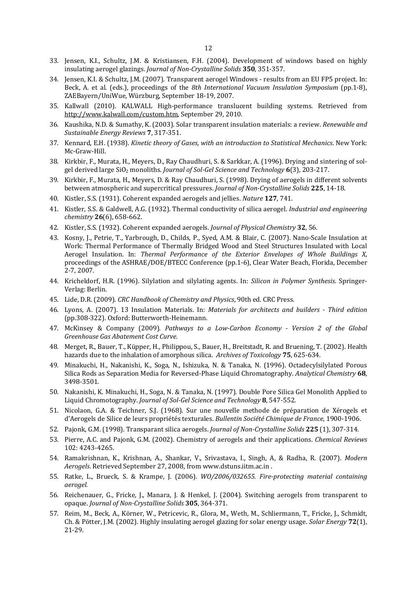- 33. Jensen, K.I., Schultz, J.M. & Kristiansen, F.H. (2004). Development of windows based on highly insulating aerogel glazings. *Journal of Non‐Crystalline Solids* **350**, 351‐357.
- 34. Jensen, K.I. & Schultz, J.M. (2007). Transparent aerogel Windows results from an EU FP5 project. In: Beck, A. et al. (eds.), proceedings of the 8th International Vacuum Insulation Symposium (pp.1-8), ZAEBayern/UniWue, Würzburg, September 18-19, 2007.
- 35. Kallwall (2010). KALWALL High-performance translucent building systems. Retrieved from http://www.kalwall.com/custom.htm, September 29, 2010.
- 36. Kaushika, N.D. & Sumathy, K. (2003). Solar transparent insulation materials: a review. *Renewable and Sustainable Energy Reviews* **7**, 317‐351.
- 37. Kennard, E.H. (1938). *Kinetic theory of Gases, with an introduction to Statistical Mechanics*. New York: Mc‐Graw‐Hill.
- 38. Kirkbir, F., Murata, H., Meyers, D., Ray Chaudhuri, S. & Sarkkar, A. (1996). Drying and sintering of solgel derived large SiO2 monoliths. *Journal of Sol‐Gel Science and Technology* **6**(3), 203‐217.
- 39. Kirkbir, F., Murata, H., Meyers, D. & Ray Chaudhuri, S. (1998). Drying of aerogels in different solvents between atmospheric and supercritical pressures. *Journal of Non‐Crystalline Solids* **225**, 14‐18.
- 40. Kistler, S.S. (1931). Coherent expanded aerogels and jellies. *Nature* **127**, 741.
- 41. Kistler, S.S. & Galdwell, A.G. (1932). Thermal conductivity of silica aerogel. *Industrial and engineering chemistry* **26**(6), 658‐662.
- 42. Kistler, S.S. (1932). Coherent expanded aerogels. *Journal of Physical Chemistry* **32**, 56.
- 43. Kosny, J., Petrie, T., Yarbrough, D., Childs, P., Syed, A.M. & Blair, C. (2007). Nano-Scale Insulation at Work: Thermal Performance of Thermally Bridged Wood and Steel Structures Insulated with Local Aerogel Insulation. In: *Thermal Performance of the Exterior Envelopes of Whole Buildings X*, proceedings of the ASHRAE/DOE/BTECC Conference (pp.1-6), Clear Water Beach, Florida, December 2‐7, 2007.
- 44. Kricheldorf, H.R. (1996). Silylation and silylating agents. In: *Silicon in Polymer Synthesis*. Springer-Verlag: Berlin.
- 45. Lide, D.R. (2009). *CRC Handbook of Chemistry and Physics*, 90th ed. CRC Press.
- 46. Lyons, A. (2007). 13 Insulation Materials. In: *Materials for architects and builders ‐ Third edition* (pp.308-322). Oxford: Butterworth-Heinemann.
- 47. McKinsey & Company (2009). *Pathways to a Low‐Carbon Economy ‐ Version 2 of the Global Greenhouse Gas Abatement Cost Curve.*
- 48. Merget, R., Bauer, T., Küpper, H., Philippou, S., Bauer, H., Breitstadt, R. and Bruening, T. (2002). Health hazards due to the inhalation of amorphous silica. *Archives of Toxicology* **75**, 625-634.
- 49. Minakuchi, H., Nakanishi, K., Soga, N., Ishizuka, N. & Tanaka, N. (1996). Octadecylsilylated Porous Silica Rods as Separation Media for Reversed‐Phase Liquid Chromatography. *Analytical Chemistry* **68**, 3498‐3501.
- 50. Nakanishi, K. Minakuchi, H., Soga, N. & Tanaka, N. (1997). Double Pore Silica Gel Monolith Applied to Liquid Chromotography. *Journal of Sol‐Gel Science and Technology* **8**, 547‐552.
- 51. Nicolaon, G.A. & Teichner, S.J. (1968). Sur une nouvelle methode de préparation de Xérogels et d'Aerogels de Silice de leurs propriétés texturales. *Bullentin Société Chimique de France*, 1900‐1906.
- 52. Pajonk, G.M. (1998). Transparant silica aerogels. *Journal of Non‐Crystalline Solids* **225** (1), 307‐314.
- 53. Pierre, A.C. and Pajonk, G.M. (2002). Chemistry of aerogels and their applications. *Chemical Reviews* 102: 4243‐4265.
- 54. Ramakrishnan, K., Krishnan, A., Shankar, V., Srivastava, I., Singh, A, & Radha, R. (2007). *Modern* Aerogels. Retrieved September 27, 2008, from www.dstuns.iitm.ac.in.
- 55. Ratke, L., Brueck, S. & Krampe, J. (2006). *WO/2006/032655. Fire‐protecting material containing aerogel.*
- 56. Reichenauer, G., Fricke, J., Manara, J. & Henkel, J. (2004). Switching aerogels from transparent to opaque. *Journal of Non‐Crystalline Solids* **305**, 364‐371.
- 57. Reim, M., Beck, A., Körner, W., Petricevic, R., Glora, M., Weth, M., Schliermann, T., Fricke, J., Schmidt, Ch. & Pötter, J.M. (2002). Highly insulating aerogel glazing for solar energy usage. *Solar Energy* 72(1), 21‐29.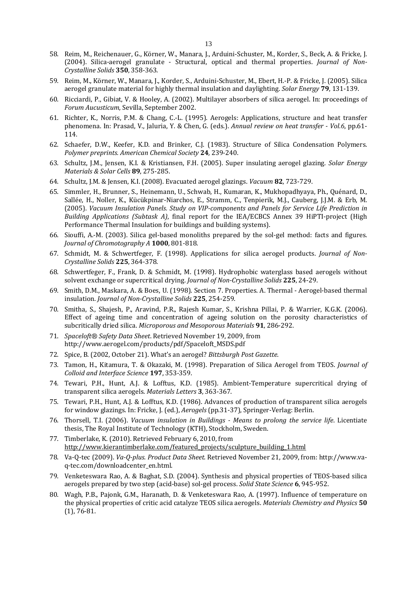- 58. Reim, M., Reichenauer, G., Körner, W., Manara, J., Arduini-Schuster, M., Korder, S., Beck, A. & Fricke, J. (2004). Silica‐aerogel granulate ‐ Structural, optical and thermal properties. *Journal of Non‐ Crystalline Solids* **350**, 358‐363.
- 59. Reim, M., Körner, W., Manara, J., Korder, S., Arduini-Schuster, M., Ebert, H.-P. & Fricke, J. (2005). Silica aerogel granulate material for highly thermal insulation and daylighting. *Solar Energy* **79**, 131-139.
- 60. Ricciardi, P., Gibiat, V. & Hooley, A. (2002). Multilayer absorbers of silica aerogel. In: proceedings of *Forum Aucusticum*, Sevilla, September 2002.
- 61. Richter, K., Norris, P.M. & Chang, C.-L. (1995). Aerogels: Applications, structure and heat transfer phenomena. In: Prasad, V., Jaluria, Y. & Chen, G. (eds.). *Annual review on heat transfer ‐ Vol.6*, pp.61‐ 114.
- 62. Schaefer, D.W., Keefer, K.D. and Brinker, C.J. (1983). Structure of Silica Condensation Polymers. *Polymer preprints. American Chemical Society* **24**, 239‐240.
- 63. Schultz, J.M., Jensen, K.I. & Kristiansen, F.H. (2005). Super insulating aerogel glazing. *Solar Energy Materials & Solar Cells* **89**, 275‐285.
- 64. Schultz, J.M. & Jensen, K.I. (2008). Evacuated aerogel glazings. *Vacuum* **82**, 723‐729.
- 65. Simmler, H., Brunner, S., Heinemann, U., Schwab, H., Kumaran, K., Mukhopadhyaya, Ph., Quénard, D., Sallée, H., Noller, K., Kücükpinar-Niarchos, E., Stramm, C., Tenpierik, M.J., Cauberg, J.J.M. & Erb, M. (2005). *Vacuum Insulation Panels. Study on VIP‐components and Panels for Service Life Prediction in Building Applications (Subtask A)*, final report for the IEA/ECBCS Annex 39 HiPTI-project *(High*) Performance Thermal Insulation for buildings and building systems).
- 66. Siouffi, A.-M. (2003). Silica gel-based monoliths prepared by the sol-gel method: facts and figures. *Journal of Chromotography A* **1000**, 801‐818.
- 67. Schmidt, M. & Schwertfeger, F. (1998). Applications for silica aerogel products. *Journal of Non*-*Crystalline Solids* **225**, 364‐378.
- 68. Schwertfeger, F., Frank, D. & Schmidt, M. (1998). Hydrophobic waterglass based aerogels without solvent exchange or supercritical drying. *Journal of Non‐Crystalline Solids* **225**, 24‐29.
- 69. Smith, D.M., Maskara, A. & Boes, U. (1998). Section 7. Properties. A. Thermal Aerogel-based thermal insulation. *Journal of Non‐Crystalline Solids* **225**, 254‐259.
- 70. Smitha, S., Shajesh, P., Aravind, P.R., Rajesh Kumar, S., Krishna Pillai, P. & Warrier, K.G.K. (2006). Effect of ageing time and concentration of ageing solution on the porosity characteristics of subcritically dried silica. *Microporous and Mesoporous Materials* **91**, 286‐292.
- 71. *Spaceloft® Safety Data Sheet*. Retrieved November 19, 2009, from http://www.aerogel.com/products/pdf/Spaceloft\_MSDS.pdf
- 72. Spice, B. (2002, October 21). What's an aerogel? *Bittsburgh Post Gazette*.
- 73. Tamon, H., Kitamura, T. & Okazaki, M. (1998). Preparation of Silica Aerogel from TEOS. *Journal of Colloid and Interface Science* **197**, 353‐359.
- 74. Tewari, P.H., Hunt, A.J. & Lofftus, K.D. (1985). Ambient-Temperature supercritical drying of transparent silica aerogels. *Materials Letters* **3**, 363‐367.
- 75. Tewari, P.H., Hunt, A.J. & Lofftus, K.D. (1986). Advances of production of transparent silica aerogels for window glazings. In: Fricke, J. (ed.), *Aerogels* (pp.31-37), Springer-Verlag: Berlin.
- 76. Thorsell, T.I. (2006). *Vacuum insulation in Buildings ‐ Means to prolong the service life*. Licentiate thesis, The Royal Institute of Technology (KTH), Stockholm, Sweden.
- 77. Timberlake, K. (2010). Retrieved February 6, 2010, from http://www.kierantimberlake.com/featured\_projects/sculpture\_building\_1.html
- 78. Va-Q-tec (2009). *Va-Q-plus. Product Data Sheet.* Retrieved November 21, 2009, from: http://www.vaq‐tec.com/downloadcenter\_en.html.
- 79. Venketeswara Rao, A. & Baghat, S.D. (2004). Synthesis and physical properties of TEOS-based silica aerogels prepared by two step (acid‐base) sol‐gel process. *Solid State Science* **6**, 945‐952.
- 80. Wagh, P.B., Pajonk, G.M., Haranath, D. & Venketeswara Rao, A. (1997). Influence of temperature on the physical properties of critic acid catalyze TEOS silica aerogels. *Materials Chemistry and Physics* **50**  $(1)$ , 76-81.